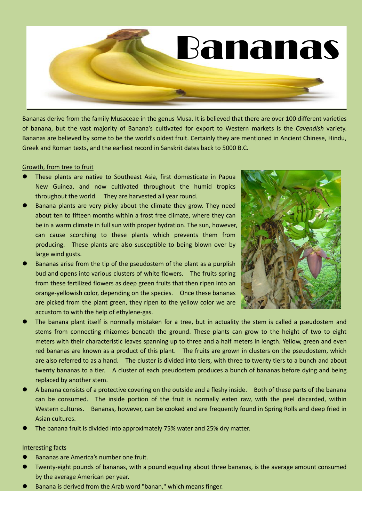

Bananas derive from the family Musaceae in the genus Musa. It is believed that there are over 100 different varieties of banana, but the vast majority of Banana's cultivated for export to Western markets is the *Cavendish* variety. Bananas are believed by some to be the world's oldest fruit. Certainly they are mentioned in Ancient Chinese, Hindu, Greek and Roman texts, and the earliest record in Sanskrit dates back to 5000 B.C.

### Growth, from tree to fruit

- These plants are native to Southeast Asia, first domesticate in Papua New Guinea, and now cultivated throughout the humid tropics throughout the world. They are harvested all year round.
- Banana plants are very picky about the climate they grow. They need about ten to fifteen months within a frost free climate, where they can be in a warm climate in full sun with proper hydration. The sun, however, can cause scorching to these plants which prevents them from producing. These plants are also susceptible to being blown over by large wind gusts.
- Bananas arise from the tip of the pseudostem of the plant as a purplish bud and opens into various clusters of white flowers. The fruits spring from these fertilized flowers as deep green fruits that then ripen into an orange-yellowish color, depending on the species. Once these bananas are picked from the plant green, they ripen to the yellow color we are accustom to with the help of ethylene-gas.



- The banana plant itself is normally mistaken for a tree, but in actuality the stem is called a pseudostem and stems from connecting rhizomes beneath the ground. These plants can grow to the height of two to eight meters with their characteristic leaves spanning up to three and a half meters in length. Yellow, green and even red bananas are known as a product of this plant. The fruits are grown in clusters on the pseudostem, which are also referred to as a hand. The cluster is divided into tiers, with three to twenty tiers to a bunch and about twenty bananas to a tier. A cluster of each pseudostem produces a bunch of bananas before dying and being replaced by another stem.
- A banana consists of a protective covering on the outside and a fleshy inside. Both of these parts of the banana can be consumed. The inside portion of the fruit is normally eaten raw, with the peel discarded, within Western cultures. Bananas, however, can be cooked and are frequently found in Spring Rolls and deep fried in Asian cultures.
- The banana fruit is divided into approximately 75% water and 25% dry matter.

### Interesting facts

- Bananas are America's number one fruit.
- Twenty-eight pounds of bananas, with a pound equaling about three bananas, is the average amount consumed by the average American per year.
- Banana is derived from the Arab word "banan," which means finger.